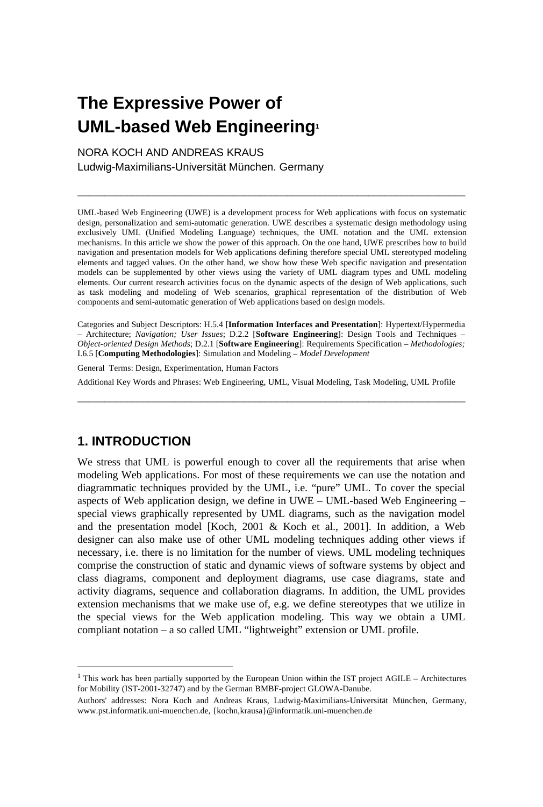# **The Expressive Power of UML-based Web Engineering<sup>1</sup>**

NORA KOCH AND ANDREAS KRAUS Ludwig-Maximilians-Universität München. Germany

UML-based Web Engineering (UWE) is a development process for Web applications with focus on systematic design, personalization and semi-automatic generation. UWE describes a systematic design methodology using exclusively UML (Unified Modeling Language) techniques, the UML notation and the UML extension mechanisms. In this article we show the power of this approach. On the one hand, UWE prescribes how to build navigation and presentation models for Web applications defining therefore special UML stereotyped modeling elements and tagged values. On the other hand, we show how these Web specific navigation and presentation models can be supplemented by other views using the variety of UML diagram types and UML modeling elements. Our current research activities focus on the dynamic aspects of the design of Web applications, such as task modeling and modeling of Web scenarios, graphical representation of the distribution of Web components and semi-automatic generation of Web applications based on design models.

\_\_\_\_\_\_\_\_\_\_\_\_\_\_\_\_\_\_\_\_\_\_\_\_\_\_\_\_\_\_\_\_\_\_\_\_\_\_\_\_\_\_\_\_\_\_\_\_\_\_\_\_\_\_\_\_\_\_\_\_\_\_\_\_\_\_\_\_\_\_\_\_

Categories and Subject Descriptors: H.5.4 [**Information Interfaces and Presentation**]: Hypertext/Hypermedia – Architecture; *Navigation; User Issues*; D.2.2 [**Software Engineering**]: Design Tools and Techniques – *Object-oriented Design Methods*; D.2.1 [**Software Engineering**]: Requirements Specification – *Methodologies;* I.6.5 [**Computing Methodologies**]: Simulation and Modeling – *Model Development*

General Terms: Design, Experimentation, Human Factors

Additional Key Words and Phrases: Web Engineering, UML, Visual Modeling, Task Modeling, UML Profile \_\_\_\_\_\_\_\_\_\_\_\_\_\_\_\_\_\_\_\_\_\_\_\_\_\_\_\_\_\_\_\_\_\_\_\_\_\_\_\_\_\_\_\_\_\_\_\_\_\_\_\_\_\_\_\_\_\_\_\_\_\_\_\_\_\_\_\_\_\_\_\_

## **1. INTRODUCTION**

 $\overline{a}$ 

We stress that UML is powerful enough to cover all the requirements that arise when modeling Web applications. For most of these requirements we can use the notation and diagrammatic techniques provided by the UML, i.e. "pure" UML. To cover the special aspects of Web application design, we define in UWE – UML-based Web Engineering – special views graphically represented by UML diagrams, such as the navigation model and the presentation model [Koch, 2001 & Koch et al., 2001]. In addition, a Web designer can also make use of other UML modeling techniques adding other views if necessary, i.e. there is no limitation for the number of views. UML modeling techniques comprise the construction of static and dynamic views of software systems by object and class diagrams, component and deployment diagrams, use case diagrams, state and activity diagrams, sequence and collaboration diagrams. In addition, the UML provides extension mechanisms that we make use of, e.g. we define stereotypes that we utilize in the special views for the Web application modeling. This way we obtain a UML compliant notation – a so called UML "lightweight" extension or UML profile.

<sup>&</sup>lt;sup>1</sup> This work has been partially supported by the European Union within the IST project AGILE – Architectures for Mobility (IST-2001-32747) and by the German BMBF-project GLOWA-Danube.

Authors' addresses: Nora Koch and Andreas Kraus, Ludwig-Maximilians-Universität München, Germany, www.pst.informatik.uni-muenchen.de, {kochn,krausa}@informatik.uni-muenchen.de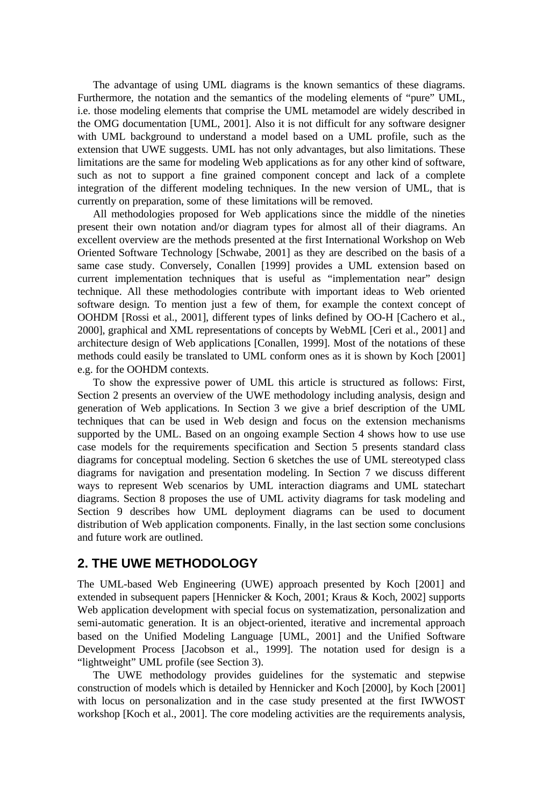The advantage of using UML diagrams is the known semantics of these diagrams. Furthermore, the notation and the semantics of the modeling elements of "pure" UML, i.e. those modeling elements that comprise the UML metamodel are widely described in the OMG documentation [UML, 2001]. Also it is not difficult for any software designer with UML background to understand a model based on a UML profile, such as the extension that UWE suggests. UML has not only advantages, but also limitations. These limitations are the same for modeling Web applications as for any other kind of software, such as not to support a fine grained component concept and lack of a complete integration of the different modeling techniques. In the new version of UML, that is currently on preparation, some of these limitations will be removed.

All methodologies proposed for Web applications since the middle of the nineties present their own notation and/or diagram types for almost all of their diagrams. An excellent overview are the methods presented at the first International Workshop on Web Oriented Software Technology [Schwabe, 2001] as they are described on the basis of a same case study. Conversely, Conallen [1999] provides a UML extension based on current implementation techniques that is useful as "implementation near" design technique. All these methodologies contribute with important ideas to Web oriented software design. To mention just a few of them, for example the context concept of OOHDM [Rossi et al., 2001], different types of links defined by OO-H [Cachero et al., 2000], graphical and XML representations of concepts by WebML [Ceri et al., 2001] and architecture design of Web applications [Conallen, 1999]. Most of the notations of these methods could easily be translated to UML conform ones as it is shown by Koch [2001] e.g. for the OOHDM contexts.

To show the expressive power of UML this article is structured as follows: First, Section 2 presents an overview of the UWE methodology including analysis, design and generation of Web applications. In Section 3 we give a brief description of the UML techniques that can be used in Web design and focus on the extension mechanisms supported by the UML. Based on an ongoing example Section 4 shows how to use use case models for the requirements specification and Section 5 presents standard class diagrams for conceptual modeling. Section 6 sketches the use of UML stereotyped class diagrams for navigation and presentation modeling. In Section 7 we discuss different ways to represent Web scenarios by UML interaction diagrams and UML statechart diagrams. Section 8 proposes the use of UML activity diagrams for task modeling and Section 9 describes how UML deployment diagrams can be used to document distribution of Web application components. Finally, in the last section some conclusions and future work are outlined.

## **2. THE UWE METHODOLOGY**

The UML-based Web Engineering (UWE) approach presented by Koch [2001] and extended in subsequent papers [Hennicker & Koch, 2001; Kraus & Koch, 2002] supports Web application development with special focus on systematization, personalization and semi-automatic generation. It is an object-oriented, iterative and incremental approach based on the Unified Modeling Language [UML, 2001] and the Unified Software Development Process [Jacobson et al., 1999]. The notation used for design is a "lightweight" UML profile (see Section 3).

The UWE methodology provides guidelines for the systematic and stepwise construction of models which is detailed by Hennicker and Koch [2000], by Koch [2001] with locus on personalization and in the case study presented at the first IWWOST workshop [Koch et al., 2001]. The core modeling activities are the requirements analysis,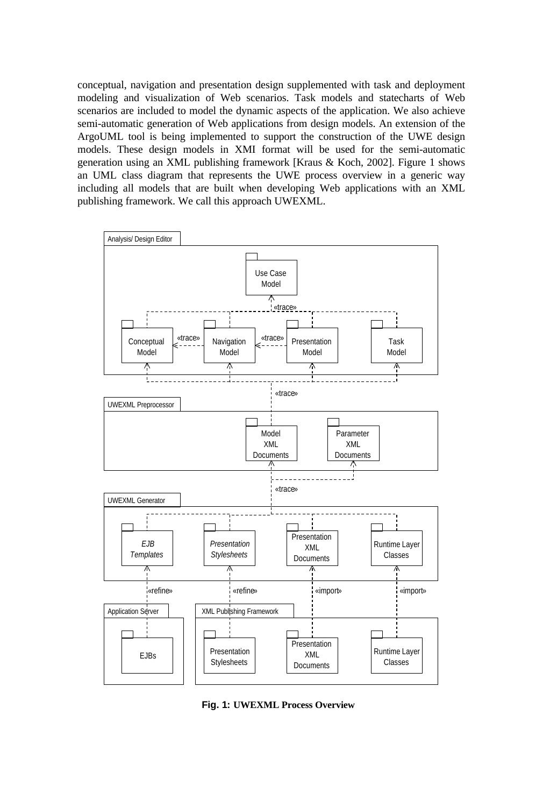conceptual, navigation and presentation design supplemented with task and deployment modeling and visualization of Web scenarios. Task models and statecharts of Web scenarios are included to model the dynamic aspects of the application. We also achieve semi-automatic generation of Web applications from design models. An extension of the ArgoUML tool is being implemented to support the construction of the UWE design models. These design models in XMI format will be used for the semi-automatic generation using an XML publishing framework [Kraus & Koch, 2002]. Figure 1 shows an UML class diagram that represents the UWE process overview in a generic way including all models that are built when developing Web applications with an XML publishing framework. We call this approach UWEXML.



**Fig. 1: UWEXML Process Overview**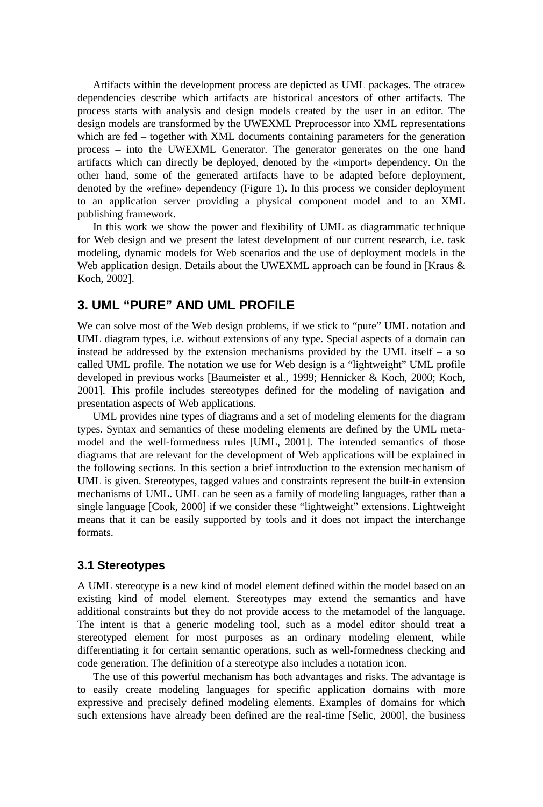Artifacts within the development process are depicted as UML packages. The «trace» dependencies describe which artifacts are historical ancestors of other artifacts. The process starts with analysis and design models created by the user in an editor. The design models are transformed by the UWEXML Preprocessor into XML representations which are fed – together with XML documents containing parameters for the generation process – into the UWEXML Generator. The generator generates on the one hand artifacts which can directly be deployed, denoted by the «import» dependency. On the other hand, some of the generated artifacts have to be adapted before deployment, denoted by the «refine» dependency (Figure 1). In this process we consider deployment to an application server providing a physical component model and to an XML publishing framework.

In this work we show the power and flexibility of UML as diagrammatic technique for Web design and we present the latest development of our current research, i.e. task modeling, dynamic models for Web scenarios and the use of deployment models in the Web application design. Details about the UWEXML approach can be found in [Kraus & Koch, 2002].

#### **3. UML "PURE" AND UML PROFILE**

We can solve most of the Web design problems, if we stick to "pure" UML notation and UML diagram types, i.e. without extensions of any type. Special aspects of a domain can instead be addressed by the extension mechanisms provided by the UML itself – a so called UML profile. The notation we use for Web design is a "lightweight" UML profile developed in previous works [Baumeister et al., 1999; Hennicker & Koch, 2000; Koch, 2001]. This profile includes stereotypes defined for the modeling of navigation and presentation aspects of Web applications.

UML provides nine types of diagrams and a set of modeling elements for the diagram types. Syntax and semantics of these modeling elements are defined by the UML metamodel and the well-formedness rules [UML, 2001]. The intended semantics of those diagrams that are relevant for the development of Web applications will be explained in the following sections. In this section a brief introduction to the extension mechanism of UML is given. Stereotypes, tagged values and constraints represent the built-in extension mechanisms of UML. UML can be seen as a family of modeling languages, rather than a single language [Cook, 2000] if we consider these "lightweight" extensions. Lightweight means that it can be easily supported by tools and it does not impact the interchange formats.

#### **3.1 Stereotypes**

A UML stereotype is a new kind of model element defined within the model based on an existing kind of model element. Stereotypes may extend the semantics and have additional constraints but they do not provide access to the metamodel of the language. The intent is that a generic modeling tool, such as a model editor should treat a stereotyped element for most purposes as an ordinary modeling element, while differentiating it for certain semantic operations, such as well-formedness checking and code generation. The definition of a stereotype also includes a notation icon.

The use of this powerful mechanism has both advantages and risks. The advantage is to easily create modeling languages for specific application domains with more expressive and precisely defined modeling elements. Examples of domains for which such extensions have already been defined are the real-time [Selic, 2000], the business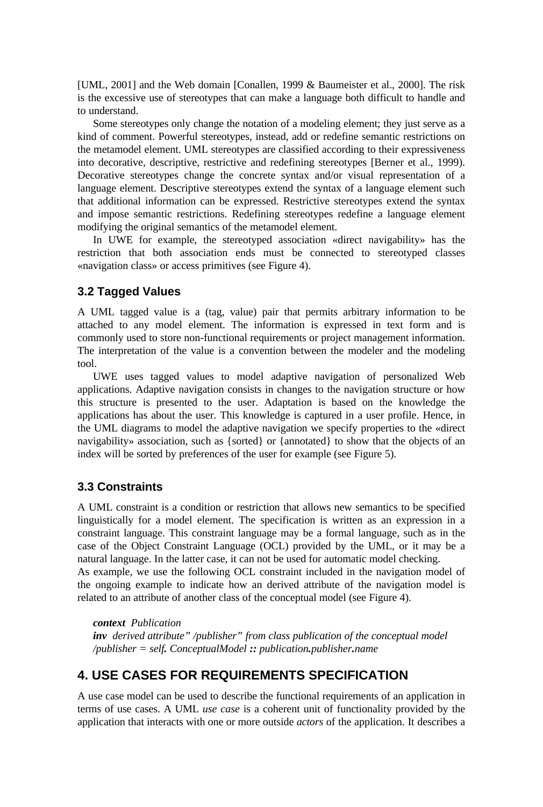[UML, 2001] and the Web domain [Conallen, 1999 & Baumeister et al., 2000]. The risk is the excessive use of stereotypes that can make a language both difficult to handle and to understand.

Some stereotypes only change the notation of a modeling element; they just serve as a kind of comment. Powerful stereotypes, instead, add or redefine semantic restrictions on the metamodel element. UML stereotypes are classified according to their expressiveness into decorative, descriptive, restrictive and redefining stereotypes [Berner et al., 1999). Decorative stereotypes change the concrete syntax and/or visual representation of a language element. Descriptive stereotypes extend the syntax of a language element such that additional information can be expressed. Restrictive stereotypes extend the syntax and impose semantic restrictions. Redefining stereotypes redefine a language element modifying the original semantics of the metamodel element.

In UWE for example, the stereotyped association «direct navigability» has the restriction that both association ends must be connected to stereotyped classes «navigation class» or access primitives (see Figure 4).

#### **3.2 Tagged Values**

A UML tagged value is a (tag, value) pair that permits arbitrary information to be attached to any model element. The information is expressed in text form and is commonly used to store non-functional requirements or project management information. The interpretation of the value is a convention between the modeler and the modeling tool.

UWE uses tagged values to model adaptive navigation of personalized Web applications. Adaptive navigation consists in changes to the navigation structure or how this structure is presented to the user. Adaptation is based on the knowledge the applications has about the user. This knowledge is captured in a user profile. Hence, in the UML diagrams to model the adaptive navigation we specify properties to the «direct navigability» association, such as {sorted} or {annotated} to show that the objects of an index will be sorted by preferences of the user for example (see Figure 5).

#### **3.3 Constraints**

A UML constraint is a condition or restriction that allows new semantics to be specified linguistically for a model element. The specification is written as an expression in a constraint language. This constraint language may be a formal language, such as in the case of the Object Constraint Language (OCL) provided by the UML, or it may be a natural language. In the latter case, it can not be used for automatic model checking. As example, we use the following OCL constraint included in the navigation model of the ongoing example to indicate how an derived attribute of the navigation model is related to an attribute of another class of the conceptual model (see Figure 4).

*context Publication inv derived attribute" /publisher" from class publication of the conceptual model /publisher = self. ConceptualModel :: publication.publisher.name*

## **4. USE CASES FOR REQUIREMENTS SPECIFICATION**

A use case model can be used to describe the functional requirements of an application in terms of use cases. A UML *use case* is a coherent unit of functionality provided by the application that interacts with one or more outside *actors* of the application. It describes a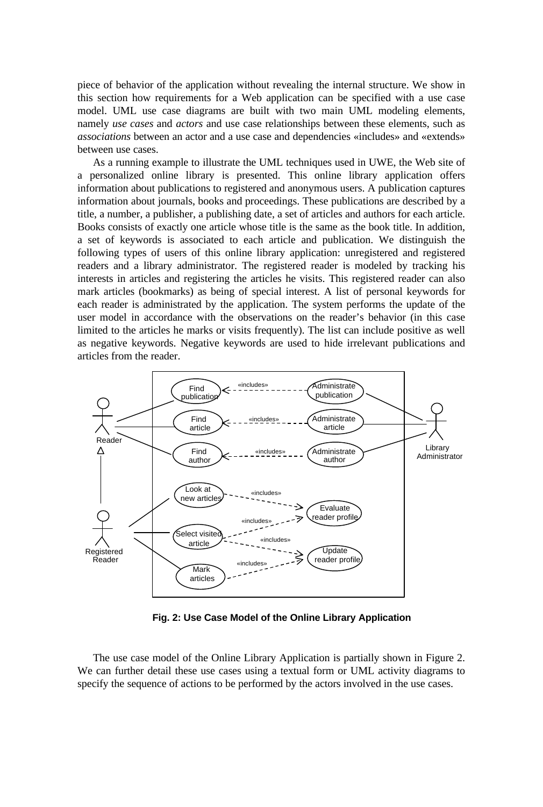piece of behavior of the application without revealing the internal structure. We show in this section how requirements for a Web application can be specified with a use case model. UML use case diagrams are built with two main UML modeling elements, namely *use cases* and *actors* and use case relationships between these elements, such as *associations* between an actor and a use case and dependencies «includes» and «extends» between use cases.

As a running example to illustrate the UML techniques used in UWE, the Web site of a personalized online library is presented. This online library application offers information about publications to registered and anonymous users. A publication captures information about journals, books and proceedings. These publications are described by a title, a number, a publisher, a publishing date, a set of articles and authors for each article. Books consists of exactly one article whose title is the same as the book title. In addition, a set of keywords is associated to each article and publication. We distinguish the following types of users of this online library application: unregistered and registered readers and a library administrator. The registered reader is modeled by tracking his interests in articles and registering the articles he visits. This registered reader can also mark articles (bookmarks) as being of special interest. A list of personal keywords for each reader is administrated by the application. The system performs the update of the user model in accordance with the observations on the reader's behavior (in this case limited to the articles he marks or visits frequently). The list can include positive as well as negative keywords. Negative keywords are used to hide irrelevant publications and articles from the reader.



**Fig. 2: Use Case Model of the Online Library Application**

The use case model of the Online Library Application is partially shown in Figure 2. We can further detail these use cases using a textual form or UML activity diagrams to specify the sequence of actions to be performed by the actors involved in the use cases.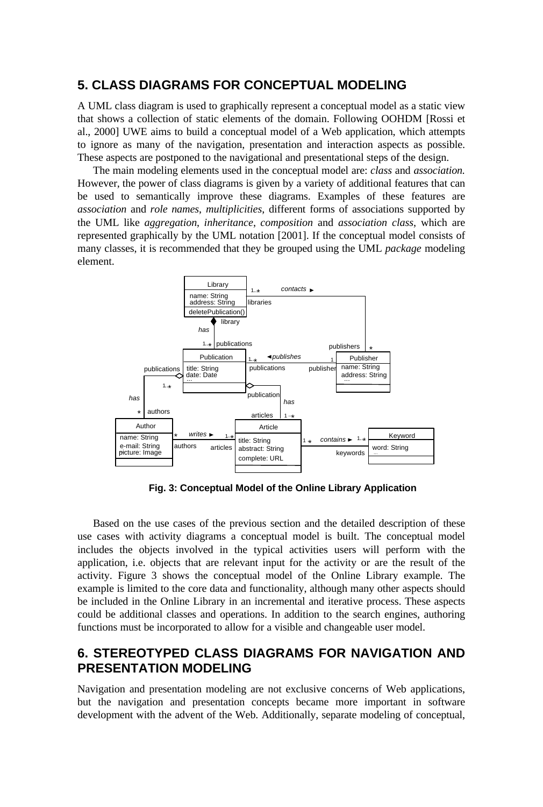## **5. CLASS DIAGRAMS FOR CONCEPTUAL MODELING**

A UML class diagram is used to graphically represent a conceptual model as a static view that shows a collection of static elements of the domain. Following OOHDM [Rossi et al., 2000] UWE aims to build a conceptual model of a Web application, which attempts to ignore as many of the navigation, presentation and interaction aspects as possible. These aspects are postponed to the navigational and presentational steps of the design.

The main modeling elements used in the conceptual model are: *class* and *association.* However, the power of class diagrams is given by a variety of additional features that can be used to semantically improve these diagrams. Examples of these features are *association* and *role names*, *multiplicities*, different forms of associations supported by the UML like *aggregation*, *inheritance*, *composition* and *association class*, which are represented graphically by the UML notation [2001]. If the conceptual model consists of many classes, it is recommended that they be grouped using the UML *package* modeling element.



**Fig. 3: Conceptual Model of the Online Library Application**

Based on the use cases of the previous section and the detailed description of these use cases with activity diagrams a conceptual model is built. The conceptual model includes the objects involved in the typical activities users will perform with the application, i.e. objects that are relevant input for the activity or are the result of the activity. Figure 3 shows the conceptual model of the Online Library example. The example is limited to the core data and functionality, although many other aspects should be included in the Online Library in an incremental and iterative process. These aspects could be additional classes and operations. In addition to the search engines, authoring functions must be incorporated to allow for a visible and changeable user model.

# **6. STEREOTYPED CLASS DIAGRAMS FOR NAVIGATION AND PRESENTATION MODELING**

Navigation and presentation modeling are not exclusive concerns of Web applications, but the navigation and presentation concepts became more important in software development with the advent of the Web. Additionally, separate modeling of conceptual,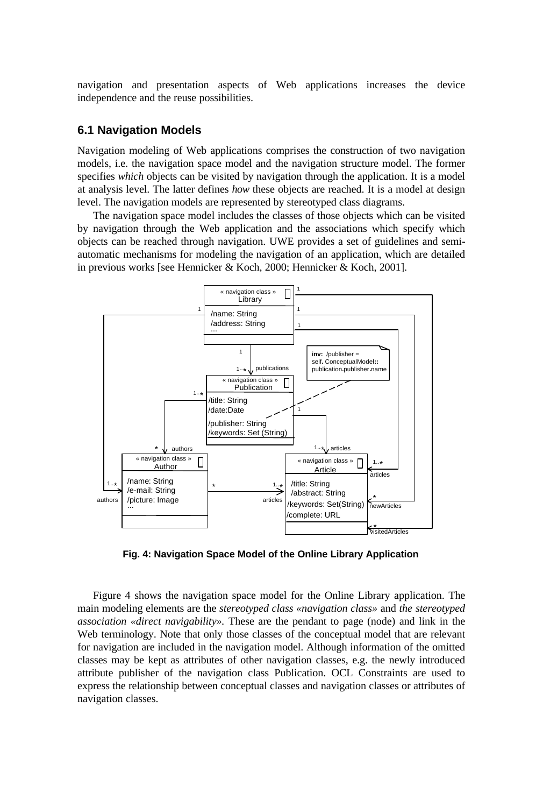navigation and presentation aspects of Web applications increases the device independence and the reuse possibilities.

#### **6.1 Navigation Models**

Navigation modeling of Web applications comprises the construction of two navigation models, i.e. the navigation space model and the navigation structure model. The former specifies *which* objects can be visited by navigation through the application. It is a model at analysis level. The latter defines *how* these objects are reached. It is a model at design level. The navigation models are represented by stereotyped class diagrams.

The navigation space model includes the classes of those objects which can be visited by navigation through the Web application and the associations which specify which objects can be reached through navigation. UWE provides a set of guidelines and semiautomatic mechanisms for modeling the navigation of an application, which are detailed in previous works [see Hennicker & Koch, 2000; Hennicker & Koch, 2001].



**Fig. 4: Navigation Space Model of the Online Library Application**

Figure 4 shows the navigation space model for the Online Library application. The main modeling elements are the *stereotyped class «navigation class»* and *the stereotyped association «direct navigability».* These are the pendant to page (node) and link in the Web terminology. Note that only those classes of the conceptual model that are relevant for navigation are included in the navigation model. Although information of the omitted classes may be kept as attributes of other navigation classes, e.g. the newly introduced attribute publisher of the navigation class Publication. OCL Constraints are used to express the relationship between conceptual classes and navigation classes or attributes of navigation classes.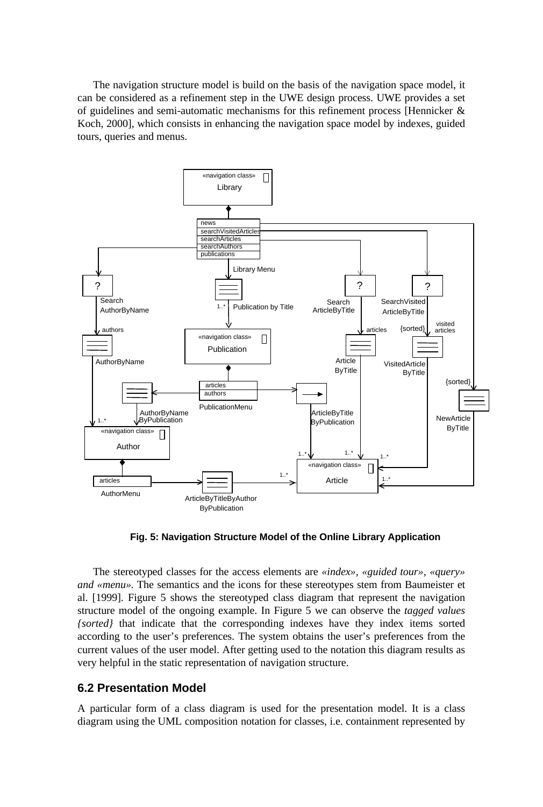The navigation structure model is build on the basis of the navigation space model, it can be considered as a refinement step in the UWE design process. UWE provides a set of guidelines and semi-automatic mechanisms for this refinement process [Hennicker & Koch, 2000], which consists in enhancing the navigation space model by indexes, guided tours, queries and menus.



**Fig. 5: Navigation Structure Model of the Online Library Application**

The stereotyped classes for the access elements are *«index», «guided tour», «query» and «menu»*. The semantics and the icons for these stereotypes stem from Baumeister et al. [1999]. Figure 5 shows the stereotyped class diagram that represent the navigation structure model of the ongoing example. In Figure 5 we can observe the *tagged values {sorted}* that indicate that the corresponding indexes have they index items sorted according to the user's preferences. The system obtains the user's preferences from the current values of the user model. After getting used to the notation this diagram results as very helpful in the static representation of navigation structure.

## **6.2 Presentation Model**

A particular form of a class diagram is used for the presentation model. It is a class diagram using the UML composition notation for classes, i.e. containment represented by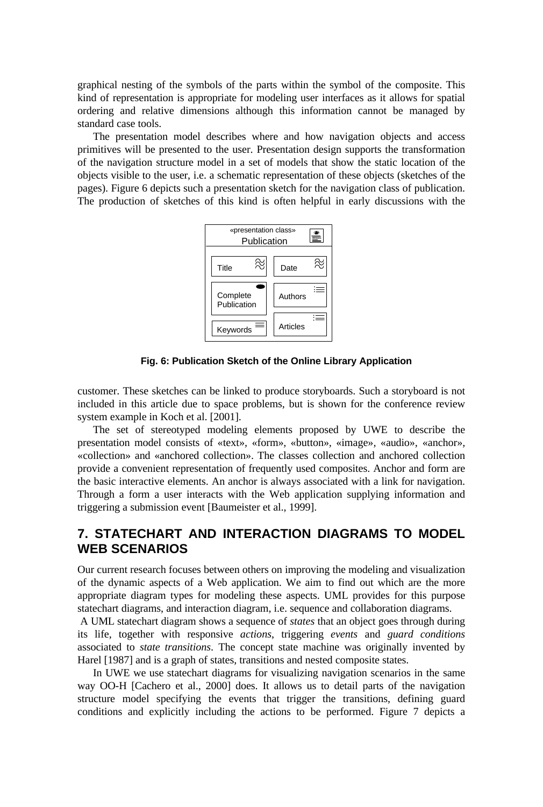graphical nesting of the symbols of the parts within the symbol of the composite. This kind of representation is appropriate for modeling user interfaces as it allows for spatial ordering and relative dimensions although this information cannot be managed by standard case tools.

The presentation model describes where and how navigation objects and access primitives will be presented to the user. Presentation design supports the transformation of the navigation structure model in a set of models that show the static location of the objects visible to the user, i.e. a schematic representation of these objects (sketches of the pages). Figure 6 depicts such a presentation sketch for the navigation class of publication. The production of sketches of this kind is often helpful in early discussions with the



**Fig. 6: Publication Sketch of the Online Library Application**

customer. These sketches can be linked to produce storyboards. Such a storyboard is not included in this article due to space problems, but is shown for the conference review system example in Koch et al. [2001].

The set of stereotyped modeling elements proposed by UWE to describe the presentation model consists of «text»*,* «form»*,* «button»*,* «image»*,* «audio»*,* «anchor»*,* «collection» and «anchored collection». The classes collection and anchored collection provide a convenient representation of frequently used composites. Anchor and form are the basic interactive elements. An anchor is always associated with a link for navigation. Through a form a user interacts with the Web application supplying information and triggering a submission event [Baumeister et al., 1999].

# **7. STATECHART AND INTERACTION DIAGRAMS TO MODEL WEB SCENARIOS**

Our current research focuses between others on improving the modeling and visualization of the dynamic aspects of a Web application. We aim to find out which are the more appropriate diagram types for modeling these aspects. UML provides for this purpose statechart diagrams, and interaction diagram, i.e. sequence and collaboration diagrams.

 A UML statechart diagram shows a sequence of *states* that an object goes through during its life, together with responsive *actions*, triggering *events* and *guard conditions* associated to *state transitions*. The concept state machine was originally invented by Harel [1987] and is a graph of states, transitions and nested composite states.

In UWE we use statechart diagrams for visualizing navigation scenarios in the same way OO-H [Cachero et al., 2000] does. It allows us to detail parts of the navigation structure model specifying the events that trigger the transitions, defining guard conditions and explicitly including the actions to be performed. Figure 7 depicts a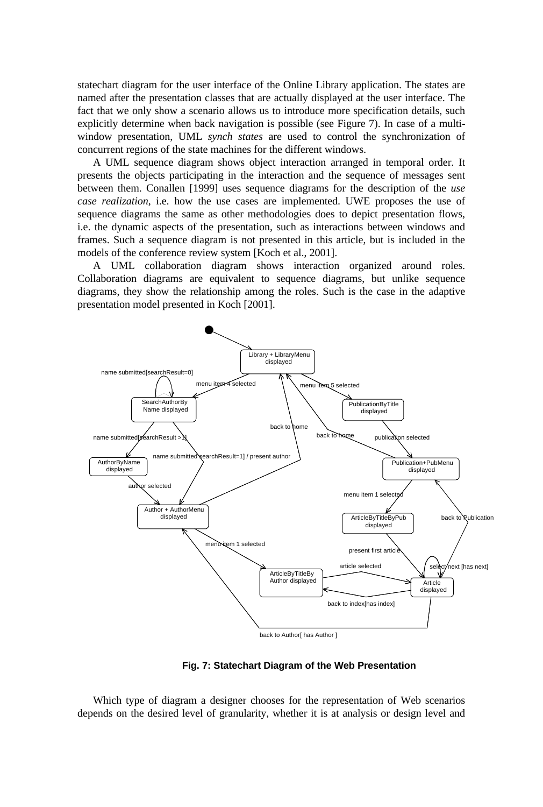statechart diagram for the user interface of the Online Library application. The states are named after the presentation classes that are actually displayed at the user interface. The fact that we only show a scenario allows us to introduce more specification details, such explicitly determine when back navigation is possible (see Figure 7). In case of a multiwindow presentation, UML *synch states* are used to control the synchronization of concurrent regions of the state machines for the different windows.

A UML sequence diagram shows object interaction arranged in temporal order. It presents the objects participating in the interaction and the sequence of messages sent between them. Conallen [1999] uses sequence diagrams for the description of the *use case realization*, i.e. how the use cases are implemented. UWE proposes the use of sequence diagrams the same as other methodologies does to depict presentation flows, i.e. the dynamic aspects of the presentation, such as interactions between windows and frames. Such a sequence diagram is not presented in this article, but is included in the models of the conference review system [Koch et al., 2001].

A UML collaboration diagram shows interaction organized around roles. Collaboration diagrams are equivalent to sequence diagrams, but unlike sequence diagrams, they show the relationship among the roles. Such is the case in the adaptive presentation model presented in Koch [2001].



**Fig. 7: Statechart Diagram of the Web Presentation**

Which type of diagram a designer chooses for the representation of Web scenarios depends on the desired level of granularity, whether it is at analysis or design level and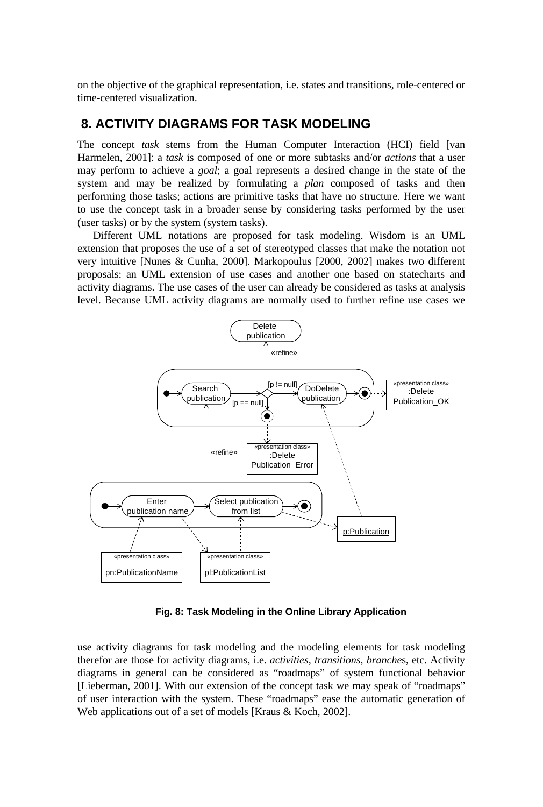on the objective of the graphical representation, i.e. states and transitions, role-centered or time-centered visualization.

## **8. ACTIVITY DIAGRAMS FOR TASK MODELING**

The concept *task* stems from the Human Computer Interaction (HCI) field [van Harmelen, 2001]: a *task* is composed of one or more subtasks and/or *actions* that a user may perform to achieve a *goal*; a goal represents a desired change in the state of the system and may be realized by formulating a *plan* composed of tasks and then performing those tasks; actions are primitive tasks that have no structure. Here we want to use the concept task in a broader sense by considering tasks performed by the user (user tasks) or by the system (system tasks).

Different UML notations are proposed for task modeling. Wisdom is an UML extension that proposes the use of a set of stereotyped classes that make the notation not very intuitive [Nunes & Cunha, 2000]. Markopoulus [2000, 2002] makes two different proposals: an UML extension of use cases and another one based on statecharts and activity diagrams. The use cases of the user can already be considered as tasks at analysis level. Because UML activity diagrams are normally used to further refine use cases we



**Fig. 8: Task Modeling in the Online Library Application**

use activity diagrams for task modeling and the modeling elements for task modeling therefor are those for activity diagrams, i.e. *activities, transitions, branche*s, etc. Activity diagrams in general can be considered as "roadmaps" of system functional behavior [Lieberman, 2001]. With our extension of the concept task we may speak of "roadmaps" of user interaction with the system. These "roadmaps" ease the automatic generation of Web applications out of a set of models [Kraus & Koch, 2002].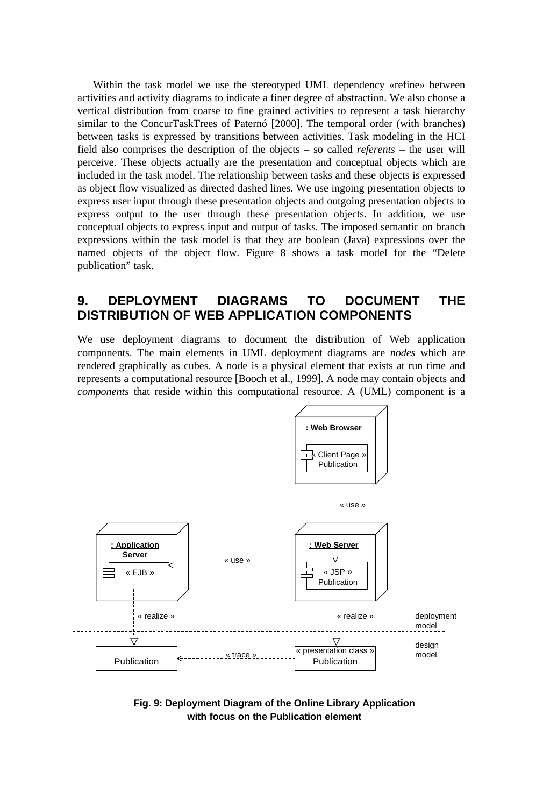Within the task model we use the stereotyped UML dependency «refine» between activities and activity diagrams to indicate a finer degree of abstraction. We also choose a vertical distribution from coarse to fine grained activities to represent a task hierarchy similar to the ConcurTaskTrees of Paternó [2000]. The temporal order (with branches) between tasks is expressed by transitions between activities. Task modeling in the HCI field also comprises the description of the objects – so called *referents* – the user will perceive. These objects actually are the presentation and conceptual objects which are included in the task model. The relationship between tasks and these objects is expressed as object flow visualized as directed dashed lines. We use ingoing presentation objects to express user input through these presentation objects and outgoing presentation objects to express output to the user through these presentation objects. In addition, we use conceptual objects to express input and output of tasks. The imposed semantic on branch expressions within the task model is that they are boolean (Java) expressions over the named objects of the object flow. Figure 8 shows a task model for the "Delete publication" task.

## **9. DEPLOYMENT DIAGRAMS TO DOCUMENT THE DISTRIBUTION OF WEB APPLICATION COMPONENTS**

We use deployment diagrams to document the distribution of Web application components. The main elements in UML deployment diagrams are *nodes* which are rendered graphically as cubes. A node is a physical element that exists at run time and represents a computational resource [Booch et al., 1999]. A node may contain objects and *components* that reside within this computational resource. A (UML) component is a



**Fig. 9: Deployment Diagram of the Online Library Application with focus on the Publication element**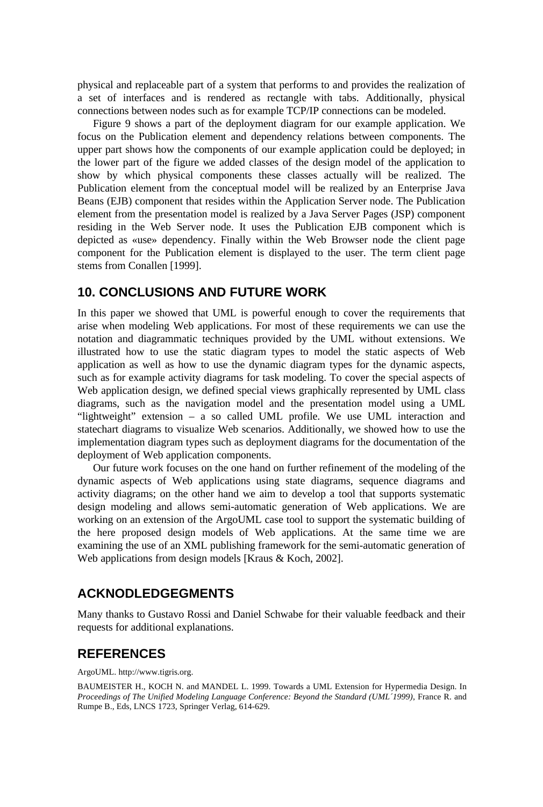physical and replaceable part of a system that performs to and provides the realization of a set of interfaces and is rendered as rectangle with tabs. Additionally, physical connections between nodes such as for example TCP/IP connections can be modeled.

Figure 9 shows a part of the deployment diagram for our example application. We focus on the Publication element and dependency relations between components. The upper part shows how the components of our example application could be deployed; in the lower part of the figure we added classes of the design model of the application to show by which physical components these classes actually will be realized. The Publication element from the conceptual model will be realized by an Enterprise Java Beans (EJB) component that resides within the Application Server node. The Publication element from the presentation model is realized by a Java Server Pages (JSP) component residing in the Web Server node. It uses the Publication EJB component which is depicted as «use» dependency. Finally within the Web Browser node the client page component for the Publication element is displayed to the user. The term client page stems from Conallen [1999].

## **10. CONCLUSIONS AND FUTURE WORK**

In this paper we showed that UML is powerful enough to cover the requirements that arise when modeling Web applications. For most of these requirements we can use the notation and diagrammatic techniques provided by the UML without extensions. We illustrated how to use the static diagram types to model the static aspects of Web application as well as how to use the dynamic diagram types for the dynamic aspects, such as for example activity diagrams for task modeling. To cover the special aspects of Web application design, we defined special views graphically represented by UML class diagrams, such as the navigation model and the presentation model using a UML "lightweight" extension – a so called UML profile. We use UML interaction and statechart diagrams to visualize Web scenarios. Additionally, we showed how to use the implementation diagram types such as deployment diagrams for the documentation of the deployment of Web application components.

Our future work focuses on the one hand on further refinement of the modeling of the dynamic aspects of Web applications using state diagrams, sequence diagrams and activity diagrams; on the other hand we aim to develop a tool that supports systematic design modeling and allows semi-automatic generation of Web applications. We are working on an extension of the ArgoUML case tool to support the systematic building of the here proposed design models of Web applications. At the same time we are examining the use of an XML publishing framework for the semi-automatic generation of Web applications from design models [Kraus & Koch, 2002].

## **ACKNODLEDGEGMENTS**

Many thanks to Gustavo Rossi and Daniel Schwabe for their valuable feedback and their requests for additional explanations.

## **REFERENCES**

ArgoUML. http://www.tigris.org.

BAUMEISTER H., KOCH N. and MANDEL L. 1999. Towards a UML Extension for Hypermedia Design. In *Proceedings of The Unified Modeling Language Conference: Beyond the Standard (UML´1999)*, France R. and Rumpe B., Eds, LNCS 1723, Springer Verlag, 614-629.